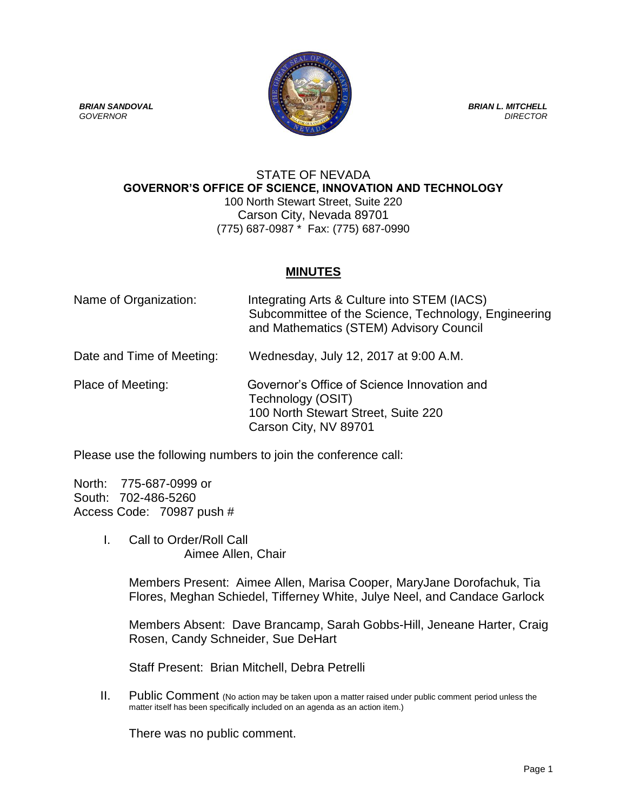**BRIAN SANDOVAL** BRIAN L. MITCHELL *GOVERNOR DIRECTOR*

## STATE OF NEVADA **GOVERNOR'S OFFICE OF SCIENCE, INNOVATION AND TECHNOLOGY** 100 North Stewart Street, Suite 220 Carson City, Nevada 89701 (775) 687-0987 \* Fax: (775) 687-0990

## **MINUTES**

| Name of Organization:     | Integrating Arts & Culture into STEM (IACS)<br>Subcommittee of the Science, Technology, Engineering<br>and Mathematics (STEM) Advisory Council |
|---------------------------|------------------------------------------------------------------------------------------------------------------------------------------------|
| Date and Time of Meeting: | Wednesday, July 12, 2017 at 9:00 A.M.                                                                                                          |
| Place of Meeting:         | Governor's Office of Science Innovation and<br>Technology (OSIT)<br>100 North Stewart Street, Suite 220<br>Carson City, NV 89701               |

Please use the following numbers to join the conference call:

North: 775-687-0999 or South: 702-486-5260 Access Code: 70987 push #

> I. Call to Order/Roll Call Aimee Allen, Chair

> > Members Present: Aimee Allen, Marisa Cooper, MaryJane Dorofachuk, Tia Flores, Meghan Schiedel, Tifferney White, Julye Neel, and Candace Garlock

> > Members Absent: Dave Brancamp, Sarah Gobbs-Hill, Jeneane Harter, Craig Rosen, Candy Schneider, Sue DeHart

Staff Present: Brian Mitchell, Debra Petrelli

II. Public Comment (No action may be taken upon a matter raised under public comment period unless the matter itself has been specifically included on an agenda as an action item.)

There was no public comment.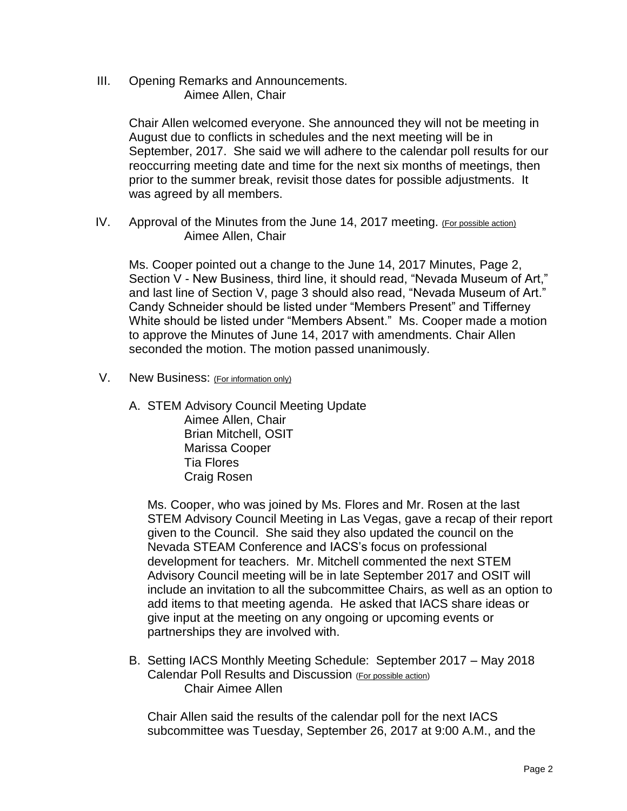III. Opening Remarks and Announcements. Aimee Allen, Chair

> Chair Allen welcomed everyone. She announced they will not be meeting in August due to conflicts in schedules and the next meeting will be in September, 2017. She said we will adhere to the calendar poll results for our reoccurring meeting date and time for the next six months of meetings, then prior to the summer break, revisit those dates for possible adjustments. It was agreed by all members.

IV. Approval of the Minutes from the June 14, 2017 meeting. (For possible action) Aimee Allen, Chair

Ms. Cooper pointed out a change to the June 14, 2017 Minutes, Page 2, Section V - New Business, third line, it should read, "Nevada Museum of Art," and last line of Section V, page 3 should also read, "Nevada Museum of Art." Candy Schneider should be listed under "Members Present" and Tifferney White should be listed under "Members Absent." Ms. Cooper made a motion to approve the Minutes of June 14, 2017 with amendments. Chair Allen seconded the motion. The motion passed unanimously.

- V. New Business: (For information only)
	- A. STEM Advisory Council Meeting Update Aimee Allen, Chair Brian Mitchell, OSIT Marissa Cooper Tia Flores Craig Rosen

Ms. Cooper, who was joined by Ms. Flores and Mr. Rosen at the last STEM Advisory Council Meeting in Las Vegas, gave a recap of their report given to the Council. She said they also updated the council on the Nevada STEAM Conference and IACS's focus on professional development for teachers. Mr. Mitchell commented the next STEM Advisory Council meeting will be in late September 2017 and OSIT will include an invitation to all the subcommittee Chairs, as well as an option to add items to that meeting agenda. He asked that IACS share ideas or give input at the meeting on any ongoing or upcoming events or partnerships they are involved with.

B. Setting IACS Monthly Meeting Schedule: September 2017 – May 2018 Calendar Poll Results and Discussion (For possible action) Chair Aimee Allen

Chair Allen said the results of the calendar poll for the next IACS subcommittee was Tuesday, September 26, 2017 at 9:00 A.M., and the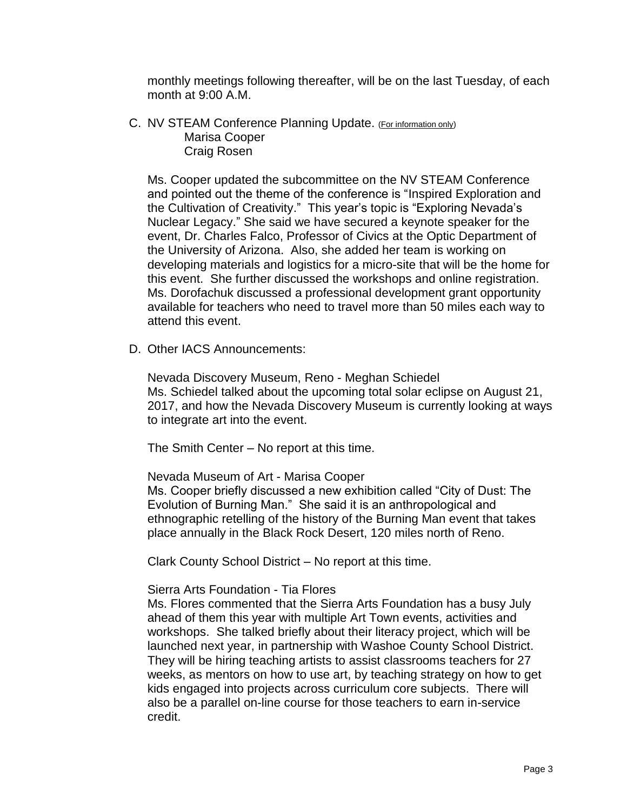monthly meetings following thereafter, will be on the last Tuesday, of each month at 9:00 A.M.

C. NV STEAM Conference Planning Update. (For information only) Marisa Cooper Craig Rosen

Ms. Cooper updated the subcommittee on the NV STEAM Conference and pointed out the theme of the conference is "Inspired Exploration and the Cultivation of Creativity." This year's topic is "Exploring Nevada's Nuclear Legacy." She said we have secured a keynote speaker for the event, Dr. Charles Falco, Professor of Civics at the Optic Department of the University of Arizona. Also, she added her team is working on developing materials and logistics for a micro-site that will be the home for this event. She further discussed the workshops and online registration. Ms. Dorofachuk discussed a professional development grant opportunity available for teachers who need to travel more than 50 miles each way to attend this event.

D. Other IACS Announcements:

Nevada Discovery Museum, Reno - Meghan Schiedel Ms. Schiedel talked about the upcoming total solar eclipse on August 21, 2017, and how the Nevada Discovery Museum is currently looking at ways to integrate art into the event.

The Smith Center – No report at this time.

Nevada Museum of Art - Marisa Cooper

Ms. Cooper briefly discussed a new exhibition called "City of Dust: The Evolution of Burning Man." She said it is an anthropological and ethnographic retelling of the history of the Burning Man event that takes place annually in the Black Rock Desert, 120 miles north of Reno.

Clark County School District – No report at this time.

## Sierra Arts Foundation - Tia Flores

Ms. Flores commented that the Sierra Arts Foundation has a busy July ahead of them this year with multiple Art Town events, activities and workshops. She talked briefly about their literacy project, which will be launched next year, in partnership with Washoe County School District. They will be hiring teaching artists to assist classrooms teachers for 27 weeks, as mentors on how to use art, by teaching strategy on how to get kids engaged into projects across curriculum core subjects. There will also be a parallel on-line course for those teachers to earn in-service credit.